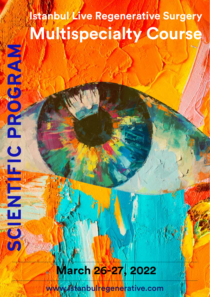## **Istanbul Live Regenerative Surgery Multispecialty Course**

### **March 26-27, 2022**

**NASANENHENTINE COORDINA** 

www.istanbulregenerative.com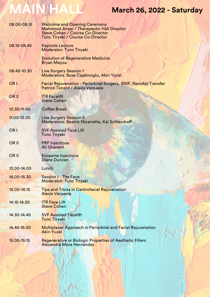# **MAIN HALL**

### **March 26, 2022 - Saturday**

| 08.00-08.15      | <b>Welcome and Opening Ceremony</b><br><b>Mahmood Ansar / Therapeutic Hall Director</b><br><b>Steve Cohen / Course Co-Director</b><br>Tunc Tiryaki / Course Co-Director |
|------------------|-------------------------------------------------------------------------------------------------------------------------------------------------------------------------|
| 08.15-08.45      | <b>Keynote Lecture</b><br><b>Moderator: Tunc Tiryaki</b>                                                                                                                |
|                  | <b>Evolution of Regenerative Medicine</b><br><b>Bryan Mayou</b>                                                                                                         |
| 08.45-10.30      | <b>Live Surgery Session 1</b><br>Moderators: Buse Capkinoglu, Akin Yucel                                                                                                |
| OR <sub>1</sub>  | <b>Facial Rejuvenation - Periorbital Surgery, SNIF, Nanofat Transfer</b><br><b>Patrick Tonard / Alexis Verpaele</b>                                                     |
| OR <sub>2</sub>  | <b>ITR Facelift</b><br><b>Steve Cohen</b>                                                                                                                               |
| 10.30-11.00      | <b>Coffee Break</b>                                                                                                                                                     |
| 11.00-13.00      | <b>Live Surgery Session II</b><br>Moderators: Beatriz Nicarretta, Kai Schlaudraff                                                                                       |
| OR <sub>1</sub>  | <b>SVF Assisted Face Lift</b><br><b>Tunc Tiryaki</b>                                                                                                                    |
| OR <sub>II</sub> | <b>PRP Injections</b><br>Ali Ghanem                                                                                                                                     |
| <b>ORII</b>      | <b>Exosome Injections</b><br><b>Diane Duncan</b>                                                                                                                        |
| 13.00-14.00      | Lunch                                                                                                                                                                   |
| 14.00-15.30      | <b>Session I - The Face</b><br><b>Moderator: Tunc Tiryaki</b>                                                                                                           |
| 14.00-14.15      | <b>Tips and Tricks in Centrofacial Rejuvenation</b><br><b>Alexis Verpaele</b>                                                                                           |
| 14.15-14.30      | <b>ITR Face Lift</b><br><b>Steve Cohen</b>                                                                                                                              |
| 14.30-14.45      | <b>SVF Assisted Facelift</b><br><b>Tunc Tiryaki</b>                                                                                                                     |
| 14.45-15.00      | <b>Multiplanar Approach in Periorbital and Facial Rejuvenation</b><br><b>Akin Yucel</b>                                                                                 |
| 15.00-15.15      | Regenerative or Biologic Properties of Aesthetic Fillers<br>Alexandra Mora Hernández                                                                                    |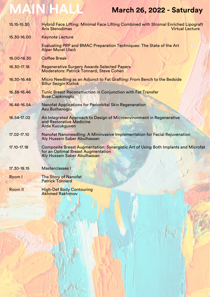# **MAIN HALL March 26, 2022 - Saturday**

| 15.15-15.30 | Hybrid Face Lifting: Minimal Face Lifting Combined with Stromal Enriched Lipograft<br><b>Aris Sterodimas</b><br><b>Virtual Lecture</b>                   |
|-------------|----------------------------------------------------------------------------------------------------------------------------------------------------------|
| 15.30-16.00 | <b>Keynote Lecture</b>                                                                                                                                   |
|             | Evaluating PRP and BMAC Preparation Techniques: The State of the Art<br><b>Alper Murat Ulaslı</b>                                                        |
| 16.00-16.30 | <b>Coffee Break</b>                                                                                                                                      |
| 16.30-17.18 | <b>Regenerative Surgery Awards Selected Papers</b><br><b>Moderators: Patrick Tonnard, Steve Cohen</b>                                                    |
| 16.30-16.48 | Micro Needling as an Adjunct to Fat Grafting: From Bench to the Bedside<br><b>Billur Sezgin Kizilok</b>                                                  |
| 16.38-16.46 | <b>Tunic Breast Reconstruction in Conjunction with Fat Transfer</b><br><b>Buse Capkinoglu</b>                                                            |
| 16.46-16.54 | Nanofat Applications for Periorbital Skin Regeneration<br>Asu Burhanoglu                                                                                 |
| 16.54-17.02 | An Integrated Approach to Design of Microenvironment in Regenerative<br>and Restorative Medicine<br><b>Arda Kucukguven</b>                               |
| 17.02-17.10 | Nanofat Nanoneedling: A Mininvasive Implementation for Facial Rejuvenation<br>Aly Hussein Saber Abulhassan                                               |
| 17.10-17.18 | Composite Breast Augmentation: Synergistic Art of Using Both Implants and Microfat<br>for an Optimal Breast Augmentation<br>Aly Hussein Saber Abulhassan |
| 17.30-18.15 | Masterclasses I                                                                                                                                          |
| Room I      | <b>The Story of Nanofat</b><br><b>Patrick Tonnard</b>                                                                                                    |
| Room II     | <b>High-Def Body Contouring</b><br><b>Akhmed Rakhimov</b>                                                                                                |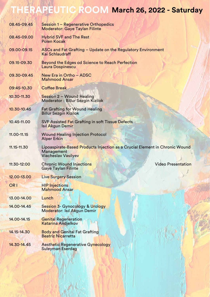### **THERAPEUTIC ROOM March 26, 2022 - Saturday**

| 08.45-09.45     | Session 1 - Regenerative Orthopedics<br><b>Moderator: Gaye Taylan Filinte</b>                                    |
|-----------------|------------------------------------------------------------------------------------------------------------------|
| 08.45-09.00     | <b>Hybrid SVF and The Rest</b><br><b>Polen Kocak</b>                                                             |
| 09.00-09.15     | ASCs and Fat Grafting - Update on the Regulatory Environment<br>Kai Schlaudraff                                  |
| 09.15-09.30     | Beyond the Edges od Science to Reach Perfection<br>Laura Dospinescu                                              |
| 09.30-09.45     | New Era in Ortho - ADSC<br><b>Mahmood Ansar</b>                                                                  |
| 09:45-10.30     | <b>Coffee Break</b>                                                                                              |
| 10.30-11.30     | Session 2 - Wound Healing<br><b>Moderator: Billur Sezgin Kizilok</b>                                             |
| 10.30-10.45     | <b>Fat Grafting for Wound Healing</b><br><b>Billur Sezgin Kizilok</b>                                            |
| 10.45-11.00     | SVF Assisted Fat Grafting in soft Tissue Defects<br><b>Isil Akgun Demir</b>                                      |
| 11.00-11.15     | <b>Wound Healing Injection Protocol</b><br><b>Alper Erkin</b>                                                    |
| 11.15-11.30     | Lipoaspirate-Based Products Injection as a Crucial Element in Chronic Wound<br>Management<br>Viacheslav Vasilyev |
| 11:30-12:00     | <b>Video Presentation</b><br><b>Chronic Wound Injections</b><br><b>Gaye Taylan Filinte</b>                       |
| 12.00-13.00     | <b>Live Surgery Session</b>                                                                                      |
| OR <sub>1</sub> | <b>HIP Injections</b><br><b>Mahmood Ansar</b>                                                                    |
| 13.00-14.00     | Lunch                                                                                                            |
| 14.00-14.45     | <b>Session 3- Gynocology &amp; Urology</b><br>Moderator: Isıl Akgun Demir                                        |
| 14.00-14.15     | <b>Genital Regeneration</b><br><b>Katarina Andjelkov</b>                                                         |
| 14.15-14.30     | <b>Body and Genital Fat Grafting</b><br><b>Beatriz Nicarretta</b>                                                |
| 14.30-14.45     | <b>Aesthetic Regenerative Gynecology</b><br><b>Suleyman Eserdag</b>                                              |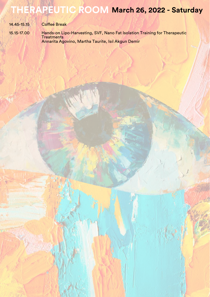### **THERAPEUTIC ROOM March 26, 2022 - Saturday**

| 14.45-15.15 | <b>Coffee Break</b>                                                                             |
|-------------|-------------------------------------------------------------------------------------------------|
| 15.15-17.00 | Hands-on Lipo-Harvesting, SVF, Nano Fat Isolation Training for Therapeutic<br><b>Treatments</b> |

Annarita Agovino, Martha Taurite, Isıl Akgun Demir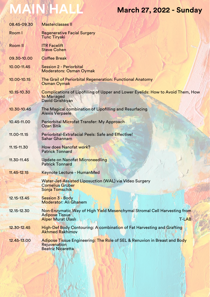# **MAIN HALL March 27, 2022 - Sunday**

| 08.45-09.30    | <b>Masterclasses II</b>                                                                                                                        |
|----------------|------------------------------------------------------------------------------------------------------------------------------------------------|
| Room I         | <b>Regenerative Facial Surgery</b><br><b>Tunc Tiryaki</b>                                                                                      |
| <b>Room II</b> | <b>ITR Facelift</b><br><b>Steve Cohen</b>                                                                                                      |
| 09.30-10.00    | <b>Coffee Break</b>                                                                                                                            |
| 10.00-11.45    | <b>Session 2 - Periorbital</b><br><b>Moderators: Osman Oymak</b>                                                                               |
| 10.00-10.15    | The Grail of Periorbital Regeneration: Functional Anatomy<br><b>Osman Oymak</b>                                                                |
| 10.15-10.30    | Complications of Lipofilling of Upper and Lower Eyelids: How to Avoid Them, How<br>to Managed<br>David Grishkyan                               |
| 10.30-10.45    | The Magical combination of Lipofilling and Resurfacing<br><b>Alexis Verpaele</b>                                                               |
| 10.45-11.00    | Periorbital Microfat Transfer: My Approach<br><b>Ozan Bitik</b>                                                                                |
| 11.00-11.15    | Periorbital-Extrafacial Peels: Safe and Effective!<br><b>Sahar Ghannam</b>                                                                     |
| 11.15-11.30    | How does Nanofat work?<br><b>Patrick Tonnard</b>                                                                                               |
| 11.30-11.45    | <b>Update on Nanofat Microneedling</b><br><b>Patrick Tonnard</b>                                                                               |
| 11.45-12.15    | <b>Keynote Lecture - HumanMed</b>                                                                                                              |
|                | Water-Jet-Assisted Liposuction (WAL) via Video Surgery<br><b>Cornelius Grüber</b><br>Sonja Tomschik                                            |
| 12.15-13.45    | <b>Session 3 - Body</b><br><b>Moderator: Ali Ghanem</b>                                                                                        |
| 12.15-12.30    | Non-Enzymatic Way of High Yield Mesenchymal Stromal Cell Harvesting from<br><b>Adipose Tissue</b><br><b>Alper Murat Ulaslı</b><br><b>T-LAB</b> |
| 12.30-12.45    | <b>High-Def Body Contouring: A combination of Fat Harvesting and Grafting</b><br><b>Akhmed Rakhimov</b>                                        |
| 12.45-13.00    | Adipose Tissue Engineering: The Role of SEL & Renuvion in Breast and Body<br>Rejuvenation<br><b>Beatriz Nicaretta</b>                          |